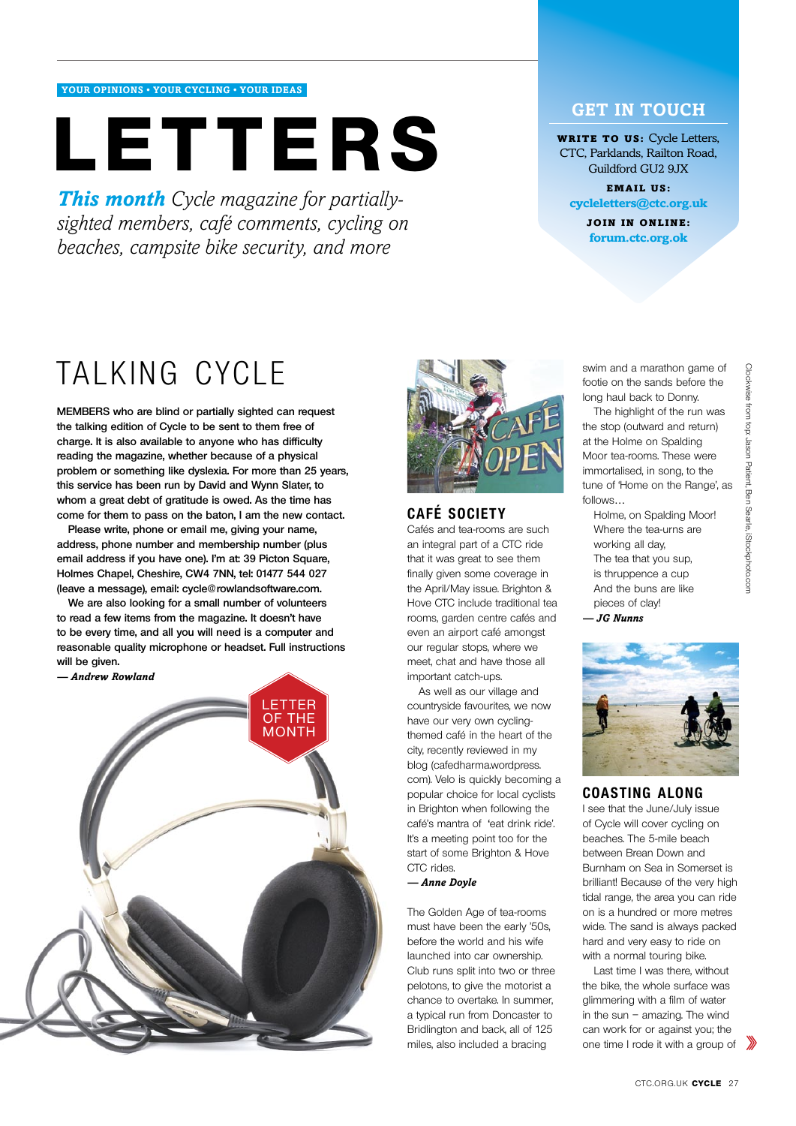### **your opinions • YOUR CYCLING • YOUR IDEAS**

# **letters**

*This month Cycle magazine for partiallysighted members, café comments, cycling on beaches, campsite bike security, and more*

# **GET IN TOUCH**

**WRITE TO US: Cycle Letters,** CTC, Parklands, Railton Road, Guildford GU2 9JX

Email us: **cycleletters@ctc.org.uk**

> Join in online: **forum.ctc.org.ok**

# TALKING CYCLE

**Members who are blind or partially sighted can request the talking edition of Cycle to be sent to them free of charge. It is also available to anyone who has difficulty reading the magazine, whether because of a physical problem or something like dyslexia. For more than 25 years, this service has been run by David and Wynn Slater, to whom a great debt of gratitude is owed. As the time has come for them to pass on the baton, I am the new contact.**

**Please write, phone or email me, giving your name, address, phone number and membership number (plus email address if you have one). I'm at: 39 Picton Square, Holmes Chapel, Cheshire, CW4 7NN, tel: 01477 544 027 (leave a message), email: cycle@rowlandsoftware.com.**

**We are also looking for a small number of volunteers to read a few items from the magazine. It doesn't have to be every time, and all you will need is a computer and reasonable quality microphone or headset. Full instructions will be given.**





# **CAFÉ SOCIETY**

Cafés and tea-rooms are such an integral part of a CTC ride that it was great to see them finally given some coverage in the April/May issue. Brighton & Hove CTC include traditional tea rooms, garden centre cafés and even an airport café amongst our regular stops, where we meet, chat and have those all important catch-ups.

As well as our village and countryside favourites, we now have our very own cyclingthemed café in the heart of the city, recently reviewed in my blog (cafedharma.wordpress. com). Velo is quickly becoming a popular choice for local cyclists in Brighton when following the café's mantra of 'eat drink ride'. It's a meeting point too for the start of some Brighton & Hove CTC rides *— Anne Doyle*

The Golden Age of tea-rooms must have been the early '50s, before the world and his wife launched into car ownership. Club runs split into two or three pelotons, to give the motorist a chance to overtake. In summer, a typical run from Doncaster to Bridlington and back, all of 125 miles, also included a bracing

swim and a marathon game of footie on the sands before the long haul back to Donny.

The highlight of the run was the stop (outward and return) at the Holme on Spalding Moor tea-rooms. These were immortalised, in song, to the tune of 'Home on the Range', as follows…

Holme, on Spalding Moor! Where the tea-urns are working all day, The tea that you sup, is thruppence a cup And the buns are like pieces of clay!

*<sup>—</sup> JG Nunns*



#### **COASTING ALONG**

I see that the June/July issue of Cycle will cover cycling on beaches. The 5-mile beach between Brean Down and Burnham on Sea in Somerset is brilliant! Because of the very high tidal range, the area you can ride on is a hundred or more metres wide. The sand is always packed hard and very easy to ride on with a normal touring bike.

Last time I was there, without the bike, the whole surface was glimmering with a film of water in the sun – amazing. The wind can work for or against you; the one time I rode it with a group of